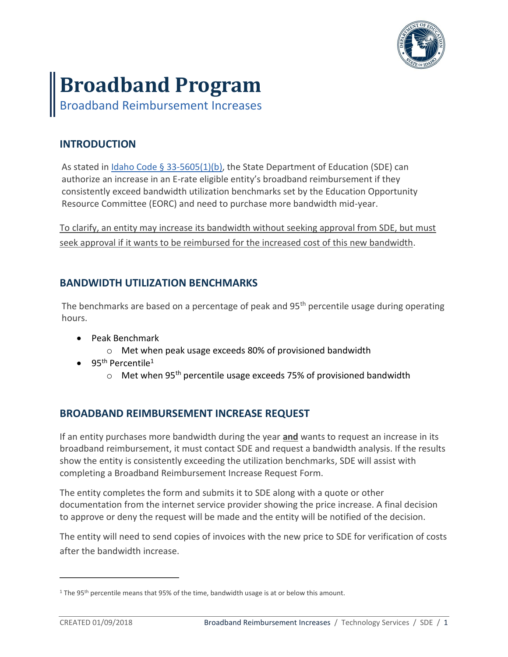

# **Broadband Program**

Broadband Reimbursement Increases

## **INTRODUCTION**

As stated in Idaho Code § [33-5605\(1\)\(b\),](https://legislature.idaho.gov/statutesrules/idstat/Title33/T33CH56/SECT33-5605/) the State Department of Education (SDE) can authorize an increase in an E-rate eligible entity's broadband reimbursement if they consistently exceed bandwidth utilization benchmarks set by the Education Opportunity Resource Committee (EORC) and need to purchase more bandwidth mid-year.

To clarify, an entity may increase its bandwidth without seeking approval from SDE, but must seek approval if it wants to be reimbursed for the increased cost of this new bandwidth.

### **BANDWIDTH UTILIZATION BENCHMARKS**

The benchmarks are based on a percentage of peak and 95<sup>th</sup> percentile usage during operating hours.

- Peak Benchmark
	- o Met when peak usage exceeds 80% of provisioned bandwidth
- $\bullet$  95<sup>th</sup> Percentile<sup>1</sup>
	- $\circ$  Met when 95<sup>th</sup> percentile usage exceeds 75% of provisioned bandwidth

### **BROADBAND REIMBURSEMENT INCREASE REQUEST**

If an entity purchases more bandwidth during the year **and** wants to request an increase in its broadband reimbursement, it must contact SDE and request a bandwidth analysis. If the results show the entity is consistently exceeding the utilization benchmarks, SDE will assist with completing a Broadband Reimbursement Increase Request Form.

The entity completes the form and submits it to SDE along with a quote or other documentation from the internet service provider showing the price increase. A final decision to approve or deny the request will be made and the entity will be notified of the decision.

The entity will need to send copies of invoices with the new price to SDE for verification of costs after the bandwidth increase.

 $\overline{a}$ 

<sup>&</sup>lt;sup>1</sup> The 95<sup>th</sup> percentile means that 95% of the time, bandwidth usage is at or below this amount.